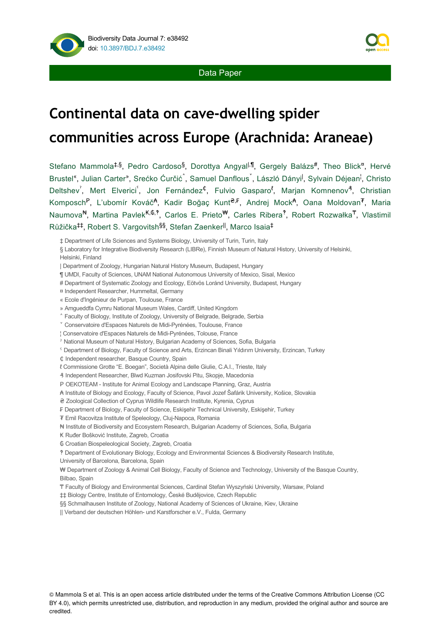



# **Continental data on cave-dwelling spider communities across Europe (Arachnida: Araneae)**

Stefano Mammola<sup>‡,§</sup>, Pedro Cardoso<sup>§</sup>, Dorottya Angyal<sup>l,¶</sup>, Gergely Balázs<sup>#</sup>, Theo Blick<sup>¤</sup>, Hervé Brustel", Julian Carter", Srećko Ćurčić , Samuel Danflous , László Dányi<sup>l</sup>, Sylvain Déjean<sup>i</sup>, Christo Deltshev<sup>'</sup>, Mert Elverici<sup>'</sup>, Jon Fernández<sup>¢</sup>, Fulvio Gasparo<sup>t</sup>, Marjan Komnenov<sup>3</sup>, Christian Komposch<sup>P</sup>, L'ubomír Kováč<sup>a</sup>, Kadir Boğaç Kunt<sup>e e</sup>, Andrej Mock<sup>a</sup>, Oana Moldovan<sup>7</sup>, Maria Naumova , Martina Pavlek K.G.?, Carlos E. Prieto , Carles Ribera?, Robert Rozwałka<sup>T</sup>, Vlastimil Růžička<sup>‡‡</sup>, Robert S. Vargovitsh<sup>§§</sup>, Stefan Zaenker<sup>ll</sup>, Marco Isaia<sup>‡</sup>

¶ UMDI, Faculty of Sciences, UNAM National Autonomous University of Mexico, Sisal, Mexico

- ¤ Independent Researcher, Hummeltal, Germany
- « Ecole d'Ingénieur de Purpan, Toulouse, France
- » Amgueddfa Cymru National Museum Wales, Cardiff, United Kingdom
- ˄ Faculty of Biology, Institute of Zoology, University of Belgrade, Belgrade, Serbia
- ˅ Conservatoire d'Espaces Naturels de Midi-Pyrénées, Toulouse, France
- ¦ Conservatoire d'Espaces Naturels de Midi-Pyrénées, Tolouse, France
- ˀ National Museum of Natural History, Bulgarian Academy of Sciences, Sofia, Bulgaria
- ˁ Department of Biology, Faculty of Science and Arts, Erzincan Binali Yıldırım University, Erzincan, Turkey
- ₵ Independent researcher, Basque Country, Spain
- ℓ Commissione Grotte "E. Boegan", Società Alpina delle Giulie, C.A.I., Trieste, Italy
- ₰ Independent Researcher, Blwd Kuzman Josifovski Pitu, Skopje, Macedonia
- P OEKOTEAM Institute for Animal Ecology and Landscape Planning, Graz, Austria
- ₳ Institute of Biology and Ecology, Faculty of Science, Pavol Jozef Šafárik University, Košice, Slovakia
- ₴ Zoological Collection of Cyprus Wildlife Research Institute, Kyrenia, Cyprus
- ₣ Department of Biology, Faculty of Science, Eskişehir Technical University, Eskişehir, Turkey
- ₮ Emil Racovitza Institute of Speleology, Cluj-Napoca, Romania
- ₦ Institute of Biodiversity and Ecosystem Research, Bulgarian Academy of Sciences, Sofia, Bulgaria
- ₭ Ruđer Bošković Institute, Zagreb, Croatia
- ₲ Croatian Biospeleological Society, Zagreb, Croatia
- ‽ Department of Evolutionary Biology, Ecology and Environmental Sciences & Biodiversity Research Institute,
- University of Barcelona, Barcelona, Spain
- ₩ Department of Zoology & Animal Cell Biology, Faculty of Science and Technology, University of the Basque Country, Bilbao, Spain
- ₸ Faculty of Biology and Environmental Sciences, Cardinal Stefan Wyszyński University, Warsaw, Poland
- ‡‡ Biology Centre, Institute of Entomology, České Budějovice, Czech Republic
- §§ Schmalhausen Institute of Zoology, National Academy of Sciences of Ukraine, Kiev, Ukraine
- || Verband der deutschen Höhlen- und Karstforscher e.V., Fulda, Germany



<sup>‡</sup> Department of Life Sciences and Systems Biology, University of Turin, Turin, Italy

<sup>§</sup> Laboratory for Integrative Biodiversity Research (LIBRe), Finnish Museum of Natural History, University of Helsinki,

Helsinki, Finland

<sup>|</sup> Department of Zoology, Hungarian Natural History Museum, Budapest, Hungary

<sup>#</sup> Department of Systematic Zoology and Ecology, Eötvös Loránd University, Budapest, Hungary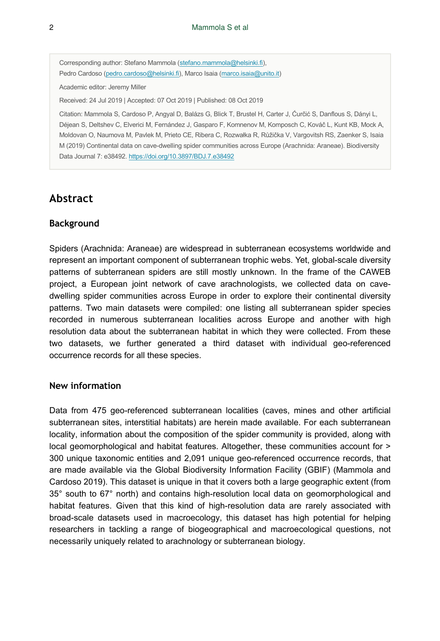Corresponding author: Stefano Mammola ([stefano.mammola@helsinki.fi](mailto:stefano.mammola@helsinki.fi)), Pedro Cardoso [\(pedro.cardoso@helsinki.fi](mailto:pedro.cardoso@helsinki.fi)), Marco Isaia [\(marco.isaia@unito.it\)](mailto:marco.isaia@unito.it)

Academic editor: Jeremy Miller

Received: 24 Jul 2019 | Accepted: 07 Oct 2019 | Published: 08 Oct 2019

Citation: Mammola S, Cardoso P, Angyal D, Balázs G, Blick T, Brustel H, Carter J, Ćurčić S, Danflous S, Dányi L, Déjean S, Deltshev C, Elverici M, Fernández J, Gasparo F, Komnenov M, Komposch C, Kováč L, Kunt KB, Mock A, Moldovan O, Naumova M, Pavlek M, Prieto CE, Ribera C, Rozwałka R, Růžička V, Vargovitsh RS, Zaenker S, Isaia M (2019) Continental data on cave-dwelling spider communities across Europe (Arachnida: Araneae). Biodiversity Data Journal 7: e38492. <https://doi.org/10.3897/BDJ.7.e38492>

# **Abstract**

#### **Background**

Spiders (Arachnida: Araneae) are widespread in subterranean ecosystems worldwide and represent an important component of subterranean trophic webs. Yet, global-scale diversity patterns of subterranean spiders are still mostly unknown. In the frame of the CAWEB project, a European joint network of cave arachnologists, we collected data on cavedwelling spider communities across Europe in order to explore their continental diversity patterns. Two main datasets were compiled: one listing all subterranean spider species recorded in numerous subterranean localities across Europe and another with high resolution data about the subterranean habitat in which they were collected. From these two datasets, we further generated a third dataset with individual geo-referenced occurrence records for all these species.

### **New information**

Data from 475 geo-referenced subterranean localities (caves, mines and other artificial subterranean sites, interstitial habitats) are herein made available. For each subterranean locality, information about the composition of the spider community is provided, along with local geomorphological and habitat features. Altogether, these communities account for > 300 unique taxonomic entities and 2,091 unique geo-referenced occurrence records, that are made available via the Global Biodiversity Information Facility (GBIF) (Mammola and Cardoso 2019). This dataset is unique in that it covers both a large geographic extent (from 35° south to 67° north) and contains high-resolution local data on geomorphological and habitat features. Given that this kind of high-resolution data are rarely associated with broad-scale datasets used in macroecology, this dataset has high potential for helping researchers in tackling a range of biogeographical and macroecological questions, not necessarily uniquely related to arachnology or subterranean biology.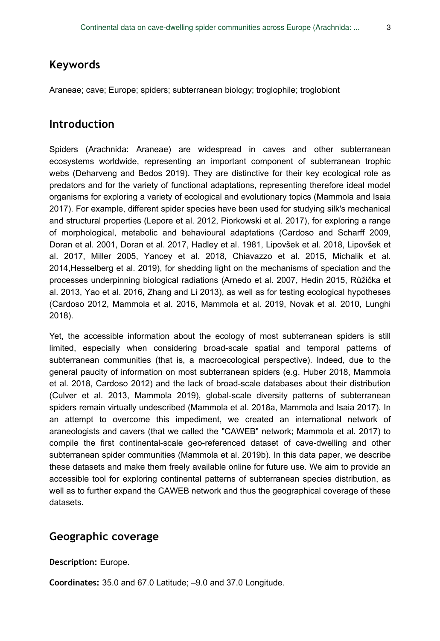# **Keywords**

Araneae; cave; Europe; spiders; subterranean biology; troglophile; troglobiont

### **Introduction**

Spiders (Arachnida: Araneae) are widespread in caves and other subterranean ecosystems worldwide, representing an important component of subterranean trophic webs (Deharveng and Bedos 2019). They are distinctive for their key ecological role as predators and for the variety of functional adaptations, representing therefore ideal model organisms for exploring a variety of ecological and evolutionary topics (Mammola and Isaia 2017). For example, different spider species have been used for studying silk's mechanical and structural properties (Lepore et al. 2012, Piorkowski et al. 2017), for exploring a range of morphological, metabolic and behavioural adaptations (Cardoso and Scharff 2009, Doran et al. 2001, Doran et al. 2017, Hadley et al. 1981, Lipovšek et al. 2018, Lipovšek et al. 2017, Miller 2005, Yancey et al. 2018, Chiavazzo et al. 2015, Michalik et al. 2014,Hesselberg et al. 2019), for shedding light on the mechanisms of speciation and the processes underpinning biological radiations (Arnedo et al. 2007, Hedin 2015, Růžička et al. 2013, Yao et al. 2016, Zhang and Li 2013), as well as for testing ecological hypotheses (Cardoso 2012, Mammola et al. 2016, Mammola et al. 2019, Novak et al. 2010, Lunghi 2018).

Yet, the accessible information about the ecology of most subterranean spiders is still limited, especially when considering broad-scale spatial and temporal patterns of subterranean communities (that is, a macroecological perspective). Indeed, due to the general paucity of information on most subterranean spiders (e.g. Huber 2018, Mammola et al. 2018, Cardoso 2012) and the lack of broad-scale databases about their distribution (Culver et al. 2013, Mammola 2019), global-scale diversity patterns of subterranean spiders remain virtually undescribed (Mammola et al. 2018a, Mammola and Isaia 2017). In an attempt to overcome this impediment, we created an international network of araneologists and cavers (that we called the "CAWEB" network; Mammola et al. 2017) to compile the first continental-scale geo-referenced dataset of cave-dwelling and other subterranean spider communities (Mammola et al. 2019b). In this data paper, we describe these datasets and make them freely available online for future use. We aim to provide an accessible tool for exploring continental patterns of subterranean species distribution, as well as to further expand the CAWEB network and thus the geographical coverage of these datasets.

### **Geographic coverage**

**Description:** Europe.

**Coordinates:** 35.0 and 67.0 Latitude; –9.0 and 37.0 Longitude.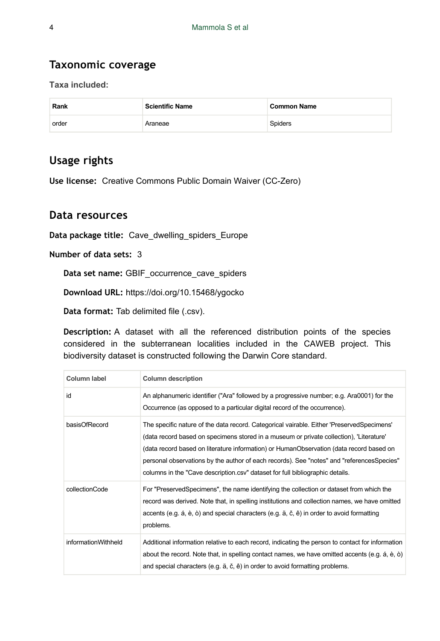# **Taxonomic coverage**

**Taxa included:**

| Rank  | <b>Scientific Name</b> | <b>Common Name</b> |
|-------|------------------------|--------------------|
| order | Araneae                | Spiders            |

# **Usage rights**

**Use license:** Creative Commons Public Domain Waiver (CC-Zero)

## **Data resources**

**Data package title:** Cave\_dwelling\_spiders\_Europe

### **Number of data sets:** 3

**Data set name:** GBIF\_occurrence\_cave\_spiders

**Download URL:** https://doi.org/10.15468/ygocko

**Data format:** Tab delimited file (.csv).

**Description:** A dataset with all the referenced distribution points of the species considered in the subterranean localities included in the CAWEB project. This biodiversity dataset is constructed following the Darwin Core standard.

| Column label        | <b>Column description</b>                                                                                                                                                                                                                                                                                                                                                                                                                                     |
|---------------------|---------------------------------------------------------------------------------------------------------------------------------------------------------------------------------------------------------------------------------------------------------------------------------------------------------------------------------------------------------------------------------------------------------------------------------------------------------------|
| id                  | An alphanumeric identifier ("Ara" followed by a progressive number; e.g. Ara0001) for the<br>Occurrence (as opposed to a particular digital record of the occurrence).                                                                                                                                                                                                                                                                                        |
| basisOfRecord       | The specific nature of the data record. Categorical vairable. Either 'PreservedSpecimens'<br>(data record based on specimens stored in a museum or private collection), 'Literature'<br>(data record based on literature information) or HumanObservation (data record based on<br>personal observations by the author of each records). See "notes" and "referencesSpecies"<br>columns in the "Cave description.csv" dataset for full bibliographic details. |
| collectionCode      | For "PreservedSpecimens", the name identifying the collection or dataset from which the<br>record was derived. Note that, in spelling institutions and collection names, we have omitted<br>accents (e.g. á, è, ò) and special characters (e.g. ä, č, ê) in order to avoid formatting<br>problems.                                                                                                                                                            |
| informationWithheld | Additional information relative to each record, indicating the person to contact for information<br>about the record. Note that, in spelling contact names, we have omitted accents (e.g. $\acute{a}$ , è, ò)<br>and special characters (e.g. ä, č, ê) in order to avoid formatting problems.                                                                                                                                                                 |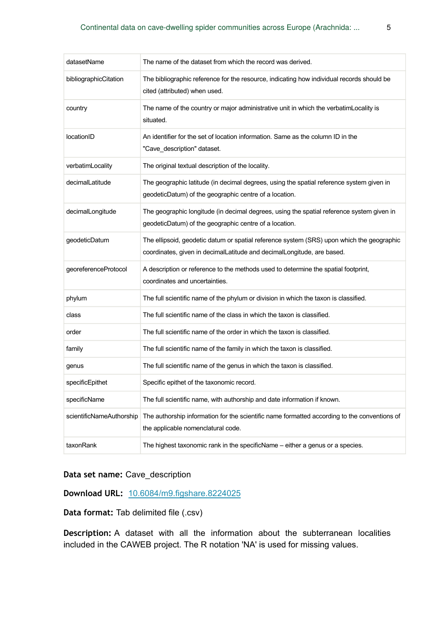| datasetName              | The name of the dataset from which the record was derived.                                                                                                          |
|--------------------------|---------------------------------------------------------------------------------------------------------------------------------------------------------------------|
| bibliographicCitation    | The bibliographic reference for the resource, indicating how individual records should be<br>cited (attributed) when used.                                          |
| country                  | The name of the country or major administrative unit in which the verbatimLocality is<br>situated.                                                                  |
| locationID               | An identifier for the set of location information. Same as the column ID in the<br>"Cave description" dataset.                                                      |
| verbatimLocality         | The original textual description of the locality.                                                                                                                   |
| decimalLatitude          | The geographic latitude (in decimal degrees, using the spatial reference system given in<br>geodeticDatum) of the geographic centre of a location.                  |
| decimalLongitude         | The geographic longitude (in decimal degrees, using the spatial reference system given in<br>geodeticDatum) of the geographic centre of a location.                 |
| geodeticDatum            | The ellipsoid, geodetic datum or spatial reference system (SRS) upon which the geographic<br>coordinates, given in decimalLatitude and decimalLongitude, are based. |
| georeferenceProtocol     | A description or reference to the methods used to determine the spatial footprint,<br>coordinates and uncertainties.                                                |
| phylum                   | The full scientific name of the phylum or division in which the taxon is classified.                                                                                |
| class                    | The full scientific name of the class in which the taxon is classified.                                                                                             |
| order                    | The full scientific name of the order in which the taxon is classified.                                                                                             |
| family                   | The full scientific name of the family in which the taxon is classified.                                                                                            |
| genus                    | The full scientific name of the genus in which the taxon is classified.                                                                                             |
| specificEpithet          | Specific epithet of the taxonomic record.                                                                                                                           |
| specificName             | The full scientific name, with authorship and date information if known.                                                                                            |
| scientificNameAuthorship | The authorship information for the scientific name formatted according to the conventions of<br>the applicable nomenclatural code.                                  |
| taxonRank                | The highest taxonomic rank in the specificName – either a genus or a species.                                                                                       |

#### **Data set name:** Cave\_description

**Download URL:** [10.6084/m9.figshare.8224025](https://doi.org/10.6084/m9.figshare.8224025)

**Data format:** Tab delimited file (.csv)

**Description:** A dataset with all the information about the subterranean localities included in the CAWEB project. The R notation 'NA' is used for missing values.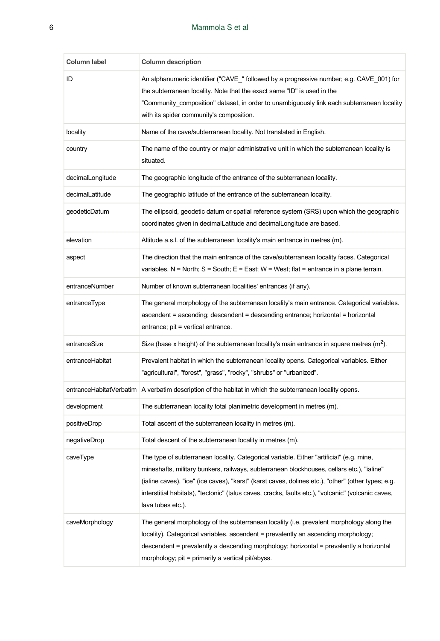| Column label            | <b>Column description</b>                                                                                                                                                                                                                                                                                                                                                                                              |
|-------------------------|------------------------------------------------------------------------------------------------------------------------------------------------------------------------------------------------------------------------------------------------------------------------------------------------------------------------------------------------------------------------------------------------------------------------|
| ID                      | An alphanumeric identifier ("CAVE_" followed by a progressive number; e.g. CAVE_001) for<br>the subterranean locality. Note that the exact same "ID" is used in the<br>"Community_composition" dataset, in order to unambiguously link each subterranean locality<br>with its spider community's composition.                                                                                                          |
| locality                | Name of the cave/subterranean locality. Not translated in English.                                                                                                                                                                                                                                                                                                                                                     |
| country                 | The name of the country or major administrative unit in which the subterranean locality is<br>situated.                                                                                                                                                                                                                                                                                                                |
| decimalLongitude        | The geographic longitude of the entrance of the subterranean locality.                                                                                                                                                                                                                                                                                                                                                 |
| decimalLatitude         | The geographic latitude of the entrance of the subterranean locality.                                                                                                                                                                                                                                                                                                                                                  |
| geodeticDatum           | The ellipsoid, geodetic datum or spatial reference system (SRS) upon which the geographic<br>coordinates given in decimalLatitude and decimalLongitude are based.                                                                                                                                                                                                                                                      |
| elevation               | Altitude a.s.l. of the subterranean locality's main entrance in metres (m).                                                                                                                                                                                                                                                                                                                                            |
| aspect                  | The direction that the main entrance of the cave/subterranean locality faces. Categorical<br>variables. N = North; S = South; E = East; W = West; flat = entrance in a plane terrain.                                                                                                                                                                                                                                  |
| entranceNumber          | Number of known subterranean localities' entrances (if any).                                                                                                                                                                                                                                                                                                                                                           |
| entranceType            | The general morphology of the subterranean locality's main entrance. Categorical variables.<br>ascendent = ascending; descendent = descending entrance; horizontal = horizontal<br>entrance; pit = vertical entrance.                                                                                                                                                                                                  |
| entranceSize            | Size (base x height) of the subterranean locality's main entrance in square metres $(m2)$ .                                                                                                                                                                                                                                                                                                                            |
| entranceHabitat         | Prevalent habitat in which the subterranean locality opens. Categorical variables. Either<br>"agricultural", "forest", "grass", "rocky", "shrubs" or "urbanized".                                                                                                                                                                                                                                                      |
| entranceHabitatVerbatim | A verbatim description of the habitat in which the subterranean locality opens.                                                                                                                                                                                                                                                                                                                                        |
| development             | The subterranean locality total planimetric development in metres (m).                                                                                                                                                                                                                                                                                                                                                 |
| positiveDrop            | Total ascent of the subterranean locality in metres (m).                                                                                                                                                                                                                                                                                                                                                               |
| negativeDrop            | Total descent of the subterranean locality in metres (m).                                                                                                                                                                                                                                                                                                                                                              |
| caveType                | The type of subterranean locality. Categorical variable. Either "artificial" (e.g. mine,<br>mineshafts, military bunkers, railways, subterranean blockhouses, cellars etc.), "ialine"<br>(ialine caves), "ice" (ice caves), "karst" (karst caves, dolines etc.), "other" (other types; e.g.<br>interstitial habitats), "tectonic" (talus caves, cracks, faults etc.), "volcanic" (volcanic caves,<br>lava tubes etc.). |
| caveMorphology          | The general morphology of the subterranean locality (i.e. prevalent morphology along the<br>locality). Categorical variables. ascendent = prevalently an ascending morphology;<br>$descendent = prevalently a descending morphology; horizontal = prevalently a horizontal$<br>morphology; pit = primarily a vertical pit/abyss.                                                                                       |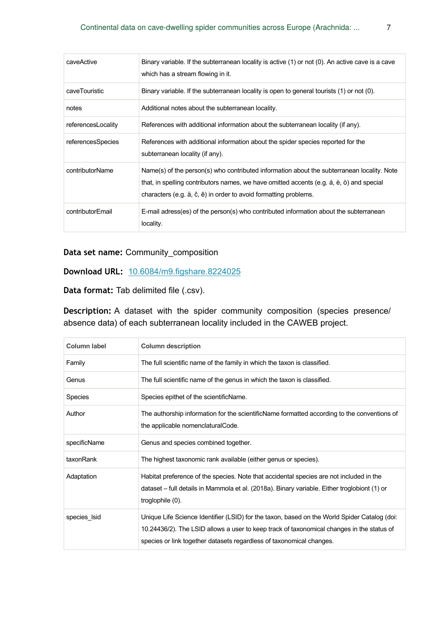| caveActive         | Binary variable. If the subterranean locality is active (1) or not (0). An active cave is a cave<br>which has a stream flowing in it.                                                                                                                      |
|--------------------|------------------------------------------------------------------------------------------------------------------------------------------------------------------------------------------------------------------------------------------------------------|
| caveTouristic      | Binary variable. If the subterranean locality is open to general tourists (1) or not (0).                                                                                                                                                                  |
| notes              | Additional notes about the subterranean locality.                                                                                                                                                                                                          |
| referencesLocality | References with additional information about the subterranean locality (if any).                                                                                                                                                                           |
| referencesSpecies  | References with additional information about the spider species reported for the<br>subterranean locality (if any).                                                                                                                                        |
| contributorName    | Name(s) of the person(s) who contributed information about the subterranean locality. Note<br>that, in spelling contributors names, we have omitted accents (e.g. á, è, ò) and special<br>characters (e.g. ä, č, ê) in order to avoid formatting problems. |
| contributorEmail   | E-mail adress(es) of the person(s) who contributed information about the subterranean<br>locality.                                                                                                                                                         |

**Data set name:** Community\_composition

**Download URL:** [10.6084/m9.figshare.8224025](https://doi.org/10.6084/m9.figshare.8224025)

**Data format:** Tab delimited file (.csv).

**Description:** A dataset with the spider community composition (species presence/ absence data) of each subterranean locality included in the CAWEB project.

| <b>Column label</b> | <b>Column description</b>                                                                                                                                                                                                                                         |
|---------------------|-------------------------------------------------------------------------------------------------------------------------------------------------------------------------------------------------------------------------------------------------------------------|
| Family              | The full scientific name of the family in which the taxon is classified.                                                                                                                                                                                          |
| Genus               | The full scientific name of the genus in which the taxon is classified.                                                                                                                                                                                           |
| Species             | Species epithet of the scientificName.                                                                                                                                                                                                                            |
| Author              | The authorship information for the scientificName formatted according to the conventions of<br>the applicable nomenclaturalCode.                                                                                                                                  |
| specificName        | Genus and species combined together.                                                                                                                                                                                                                              |
| taxonRank           | The highest taxonomic rank available (either genus or species).                                                                                                                                                                                                   |
| Adaptation          | Habitat preference of the species. Note that accidental species are not included in the<br>dataset – full details in Mammola et al. (2018a). Binary variable. Either troglobiont (1) or<br>troglophile (0).                                                       |
| species Isid        | Unique Life Science Identifier (LSID) for the taxon, based on the World Spider Catalog (doi:<br>10.24436/2). The LSID allows a user to keep track of taxonomical changes in the status of<br>species or link together datasets regardless of taxonomical changes. |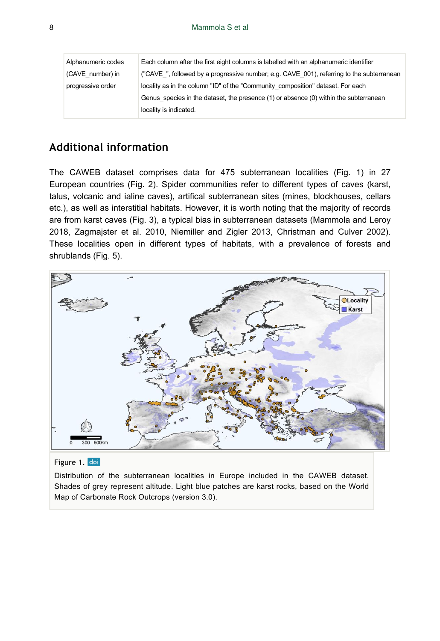| Alphanumeric codes | Each column after the first eight columns is labelled with an alphanumeric identifier    |
|--------------------|------------------------------------------------------------------------------------------|
| (CAVE number) in   | ("CAVE", followed by a progressive number; e.g. CAVE 001), referring to the subterranean |
| progressive order  | locality as in the column "ID" of the "Community composition" dataset. For each          |
|                    | Genus species in the dataset, the presence (1) or absence (0) within the subterranean    |
|                    | locality is indicated.                                                                   |

# **Additional information**

The CAWEB dataset comprises data for 475 subterranean localities (Fig. 1) in 27 European countries (Fig. 2). Spider communities refer to different types of caves (karst, talus, volcanic and ialine caves), artifical subterranean sites (mines, blockhouses, cellars etc.), as well as interstitial habitats. However, it is worth noting that the majority of records are from karst caves (Fig. 3), a typical bias in subterranean datasets (Mammola and Leroy 2018, Zagmajster et al. 2010, Niemiller and Zigler 2013, Christman and Culver 2002). These localities open in different types of habitats, with a prevalence of forests and shrublands (Fig. 5).



#### Figure 1. doi

Distribution of the subterranean localities in Europe included in the CAWEB dataset. Shades of grey represent altitude. Light blue patches are karst rocks, based on the World Map of Carbonate Rock Outcrops (version 3.0).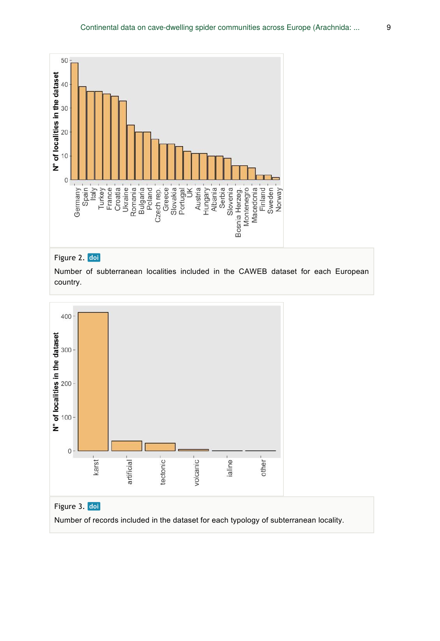

#### Figure 2. doi

Number of subterranean localities included in the CAWEB dataset for each European country.



Number of records included in the dataset for each typology of subterranean locality.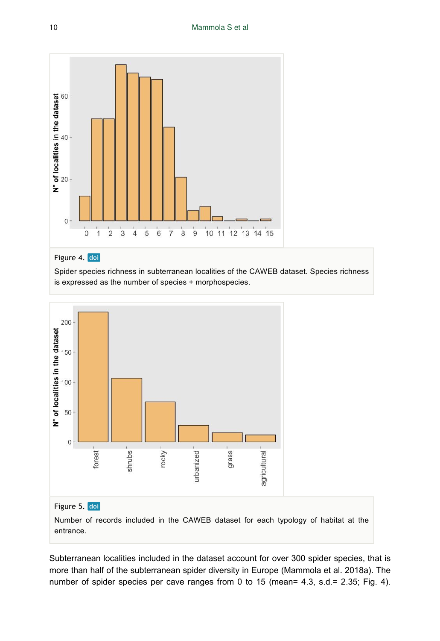

#### Figure 4. doi

Spider species richness in subterranean localities of the CAWEB dataset. Species richness is expressed as the number of species + morphospecies.



### Figure 5. doi

Number of records included in the CAWEB dataset for each typology of habitat at the entrance.

Subterranean localities included in the dataset account for over 300 spider species, that is more than half of the subterranean spider diversity in Europe (Mammola et al. 2018a). The number of spider species per cave ranges from 0 to 15 (mean= 4.3, s.d.= 2.35; Fig. 4).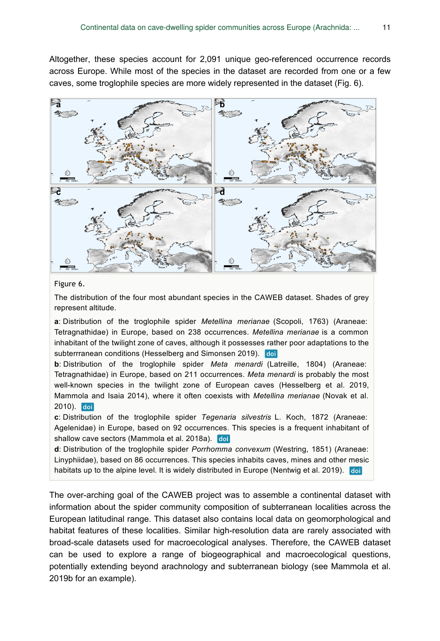Altogether, these species account for 2,091 unique geo-referenced occurrence records across Europe. While most of the species in the dataset are recorded from one or a few caves, some troglophile species are more widely represented in the dataset (Fig. 6).



#### Figure 6.

The distribution of the four most abundant species in the CAWEB dataset. Shades of grey represent altitude.

**a**: Distribution of the troglophile spider *Metellina merianae* (Scopoli, 1763) (Araneae: Tetragnathidae) in Europe, based on 238 occurrences. *Metellina merianae* is a common inhabitant of the twilight zone of caves, although it possesses rather poor adaptations to the subterrranean conditions (Hesselberg and Simonsen 2019). doi

**b**: Distribution of the troglophile spider *Meta menardi* (Latreille, 1804) (Araneae: Tetragnathidae) in Europe, based on 211 occurrences. *Meta menardi* is probably the most well-known species in the twilight zone of European caves (Hesselberg et al. 2019, Mammola and Isaia 2014), where it often coexists with *Metellina merianae* (Novak et al. 2010). doi

**c**: Distribution of the troglophile spider *Tegenaria silvestris* L. Koch, 1872 (Araneae: Agelenidae) in Europe, based on 92 occurrences. This species is a frequent inhabitant of shallow cave sectors (Mammola et al. 2018a). doi

**d**: Distribution of the troglophile spider *Porrhomma convexum* (Westring, 1851) (Araneae: Linyphiidae), based on 86 occurrences. This species inhabits caves, mines and other mesic habitats up to the alpine level. It is widely distributed in Europe (Nentwig et al. 2019). doi

The over-arching goal of the CAWEB project was to assemble a continental dataset with information about the spider community composition of subterranean localities across the European latitudinal range. This dataset also contains local data on geomorphological and habitat features of these localities. Similar high-resolution data are rarely associated with broad-scale datasets used for macroecological analyses. Therefore, the CAWEB dataset can be used to explore a range of biogeographical and macroecological questions, potentially extending beyond arachnology and subterranean biology (see Mammola et al. 2019b for an example).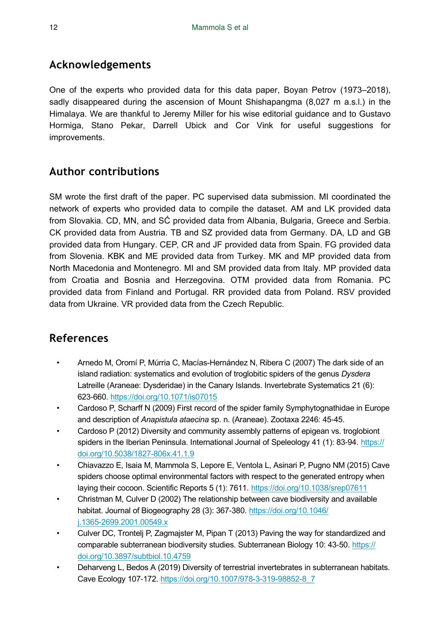# **Acknowledgements**

One of the experts who provided data for this data paper, Boyan Petrov (1973–2018), sadly disappeared during the ascension of Mount Shishapangma (8,027 m a.s.l.) in the Himalaya. We are thankful to Jeremy Miller for his wise editorial guidance and to Gustavo Hormiga, Stano Pekar, Darrell Ubick and Cor Vink for useful suggestions for improvements.

# **Author contributions**

SM wrote the first draft of the paper. PC supervised data submission. MI coordinated the network of experts who provided data to compile the dataset. AM and LK provided data from Slovakia. CD, MN, and SĆ provided data from Albania, Bulgaria, Greece and Serbia. CK provided data from Austria. TB and SZ provided data from Germany. DA, LD and GB provided data from Hungary. CEP, CR and JF provided data from Spain. FG provided data from Slovenia. KBK and ME provided data from Turkey. MK and MP provided data from North Macedonia and Montenegro. MI and SM provided data from Italy. MP provided data from Croatia and Bosnia and Herzegovina. OTM provided data from Romania. PC provided data from Finland and Portugal. RR provided data from Poland. RSV provided data from Ukraine. VR provided data from the Czech Republic.

# **References**

- Arnedo M, Oromí P, Múrria C, Macías-Hernández N, Ribera C (2007) The dark side of an island radiation: systematics and evolution of troglobitic spiders of the genus *Dysdera* Latreille (Araneae: Dysderidae) in the Canary Islands. Invertebrate Systematics 21 (6): 623‑660.<https://doi.org/10.1071/is07015>
- Cardoso P, Scharff N (2009) First record of the spider family Symphytognathidae in Europe and description of *Anapistula ataecina* sp. n. (Araneae). Zootaxa 2246: 45‑45.
- Cardoso P (2012) Diversity and community assembly patterns of epigean vs. troglobiont spiders in the Iberian Peninsula. International Journal of Speleology 41 (1): 83-94. [https://](https://doi.org/10.5038/1827-806x.41.1.9) [doi.org/10.5038/1827-806x.41.1.9](https://doi.org/10.5038/1827-806x.41.1.9)
- Chiavazzo E, Isaia M, Mammola S, Lepore E, Ventola L, Asinari P, Pugno NM (2015) Cave spiders choose optimal environmental factors with respect to the generated entropy when laying their cocoon. Scientific Reports 5 (1): 7611. <https://doi.org/10.1038/srep07611>
- Christman M, Culver D (2002) The relationship between cave biodiversity and available habitat. Journal of Biogeography 28 (3): 367‑380. [https://doi.org/10.1046/](https://doi.org/10.1046/j.1365-2699.2001.00549.x) [j.1365-2699.2001.00549.x](https://doi.org/10.1046/j.1365-2699.2001.00549.x)
- Culver DC, Trontelj P, Zagmajster M, Pipan T (2013) Paving the way for standardized and comparable subterranean biodiversity studies. Subterranean Biology 10: 43-50. [https://](https://doi.org/10.3897/subtbiol.10.4759) [doi.org/10.3897/subtbiol.10.4759](https://doi.org/10.3897/subtbiol.10.4759)
- Deharveng L, Bedos A (2019) Diversity of terrestrial invertebrates in subterranean habitats. Cave Ecology 107‑172. [https://doi.org/10.1007/978-3-319-98852-8\\_7](https://doi.org/10.1007/978-3-319-98852-8_7)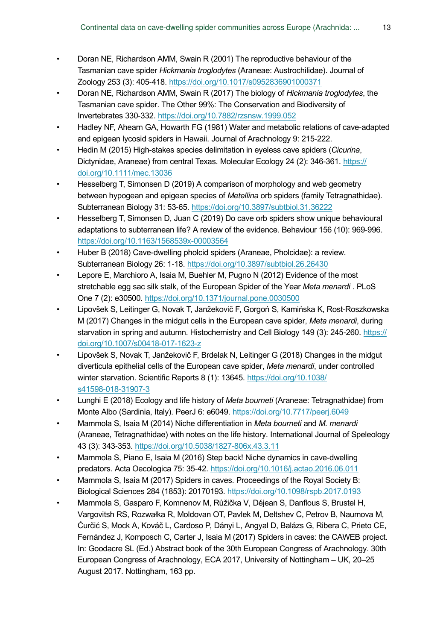- Doran NE, Richardson AMM, Swain R (2001) The reproductive behaviour of the Tasmanian cave spider *Hickmania troglodytes* (Araneae: Austrochilidae). Journal of Zoology 253 (3): 405‑418. <https://doi.org/10.1017/s0952836901000371>
- Doran NE, Richardson AMM, Swain R (2017) The biology of *Hickmania troglodytes*, the Tasmanian cave spider. The Other 99%: The Conservation and Biodiversity of Invertebrates 330‑332. <https://doi.org/10.7882/rzsnsw.1999.052>
- Hadley NF, Ahearn GA, Howarth FG (1981) Water and metabolic relations of cave-adapted and epigean lycosid spiders in Hawaii. Journal of Arachnology 9: 215‑222.
- Hedin M (2015) High-stakes species delimitation in eyeless cave spiders (*Cicurina*, Dictynidae, Araneae) from central Texas. Molecular Ecology 24 (2): 346-361. [https://](https://doi.org/10.1111/mec.13036) [doi.org/10.1111/mec.13036](https://doi.org/10.1111/mec.13036)
- Hesselberg T, Simonsen D (2019) A comparison of morphology and web geometry between hypogean and epigean species of *Metellina* orb spiders (family Tetragnathidae). Subterranean Biology 31: 53‑65. <https://doi.org/10.3897/subtbiol.31.36222>
- Hesselberg T, Simonsen D, Juan C (2019) Do cave orb spiders show unique behavioural adaptations to subterranean life? A review of the evidence. Behaviour 156 (10): 969‑996. <https://doi.org/10.1163/1568539x-00003564>
- Huber B (2018) Cave-dwelling pholcid spiders (Araneae, Pholcidae): a review. Subterranean Biology 26: 1‑18. <https://doi.org/10.3897/subtbiol.26.26430>
- Lepore E, Marchioro A, Isaia M, Buehler M, Pugno N (2012) Evidence of the most stretchable egg sac silk stalk, of the European Spider of the Year *Meta menardi* . PLoS One 7 (2): e30500.<https://doi.org/10.1371/journal.pone.0030500>
- Lipovšek S, Leitinger G, Novak T, Janžekovič F, Gorgoń S, Kamińska K, Rost-Roszkowska M (2017) Changes in the midgut cells in the European cave spider, *Meta menardi*, during starvation in spring and autumn. Histochemistry and Cell Biology 149 (3): 245-260. [https://](https://doi.org/10.1007/s00418-017-1623-z) [doi.org/10.1007/s00418-017-1623-z](https://doi.org/10.1007/s00418-017-1623-z)
- Lipovšek S, Novak T, Janžekovič F, Brdelak N, Leitinger G (2018) Changes in the midgut diverticula epithelial cells of the European cave spider, *Meta menardi*, under controlled winter starvation. Scientific Reports 8 (1): 13645. [https://doi.org/10.1038/](https://doi.org/10.1038/s41598-018-31907-3) [s41598-018-31907-3](https://doi.org/10.1038/s41598-018-31907-3)
- Lunghi E (2018) Ecology and life history of *Meta bourneti* (Araneae: Tetragnathidae) from Monte Albo (Sardinia, Italy). PeerJ 6: e6049.<https://doi.org/10.7717/peerj.6049>
- Mammola S, Isaia M (2014) Niche differentiation in *Meta bourneti* and *M. menardi* (Araneae, Tetragnathidae) with notes on the life history. International Journal of Speleology 43 (3): 343‑353.<https://doi.org/10.5038/1827-806x.43.3.11>
- Mammola S, Piano E, Isaia M (2016) Step back! Niche dynamics in cave-dwelling predators. Acta Oecologica 75: 35‑42. <https://doi.org/10.1016/j.actao.2016.06.011>
- Mammola S, Isaia M (2017) Spiders in caves. Proceedings of the Royal Society B: Biological Sciences 284 (1853): 20170193. <https://doi.org/10.1098/rspb.2017.0193>
- Mammola S, Gasparo F, Komnenov M, Růžička V, Déjean S, Danflous S, Brustel H, Vargovitsh RS, Rozwałka R, Moldovan OT, Pavlek M, Deltshev C, Petrov B, Naumova M, Ćurčić S, Mock A, Kováč L, Cardoso P, Dányi L, Angyal D, Balázs G, Ribera C, Prieto CE, Fernández J, Komposch C, Carter J, Isaia M (2017) Spiders in caves: the CAWEB project. In: Goodacre SL (Ed.) Abstract book of the 30th European Congress of Arachnology. 30th European Congress of Arachnology, ECA 2017, University of Nottingham – UK, 20–25 August 2017. Nottingham, 163 pp.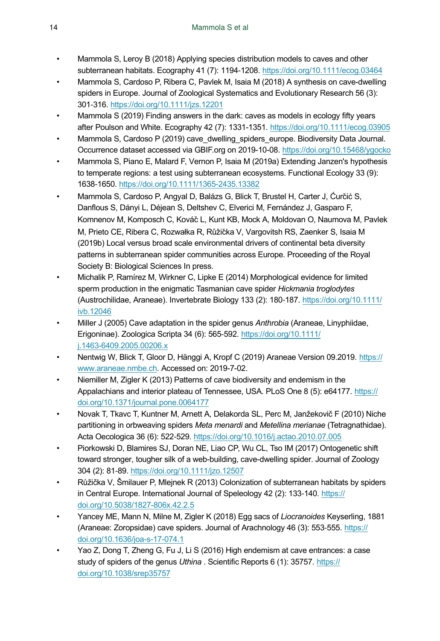- Mammola S, Leroy B (2018) Applying species distribution models to caves and other subterranean habitats. Ecography 41 (7): 1194-1208. <https://doi.org/10.1111/ecog.03464>
- Mammola S, Cardoso P, Ribera C, Pavlek M, Isaia M (2018) A synthesis on cave-dwelling spiders in Europe. Journal of Zoological Systematics and Evolutionary Research 56 (3): 301‑316.<https://doi.org/10.1111/jzs.12201>
- Mammola S (2019) Finding answers in the dark: caves as models in ecology fifty years after Poulson and White. Ecography 42 (7): 1331-1351. <https://doi.org/10.1111/ecog.03905>
- Mammola S, Cardoso P (2019) cave dwelling spiders europe. Biodiversity Data Journal. Occurrence dataset accessed via GBIF.org on 2019-10-08. <https://doi.org/10.15468/ygocko>
- Mammola S, Piano E, Malard F, Vernon P, Isaia M (2019a) Extending Janzen's hypothesis to temperate regions: a test using subterranean ecosystems. Functional Ecology 33 (9): 1638‑1650.<https://doi.org/10.1111/1365-2435.13382>
- Mammola S, Cardoso P, Angyal D, Balázs G, Blick T, Brustel H, Carter J, Ćurčić S, Danflous S, Dányi L, Déjean S, Deltshev C, Elverici M, Fernández J, Gasparo F, Komnenov M, Komposch C, KováčL, Kunt KB, Mock A, Moldovan O, Naumova M, Pavlek M, Prieto CE, Ribera C, Rozwałka R, Růžička V, Vargovitsh RS, Zaenker S, Isaia M (2019b) Local versus broad scale environmental drivers of continental beta diversity patterns in subterranean spider communities across Europe. Proceeding of the Royal Society B: Biological Sciences In press.
- Michalik P, Ramírez M, Wirkner C, Lipke E (2014) Morphological evidence for limited sperm production in the enigmatic Tasmanian cave spider *Hickmania troglodytes* (Austrochilidae, Araneae). Invertebrate Biology 133 (2): 180‑187. [https://doi.org/10.1111/](https://doi.org/10.1111/ivb.12046) [ivb.12046](https://doi.org/10.1111/ivb.12046)
- Miller J (2005) Cave adaptation in the spider genus *Anthrobia* (Araneae, Linyphiidae, Erigoninae). Zoologica Scripta 34 (6): 565‑592. [https://doi.org/10.1111/](https://doi.org/10.1111/j.1463-6409.2005.00206.x) [j.1463-6409.2005.00206.x](https://doi.org/10.1111/j.1463-6409.2005.00206.x)
- Nentwig W, Blick T, Gloor D, Hänggi A, Kropf C (2019) Araneae Version 09.2019. [https://](https://www.araneae.nmbe.ch) [www.araneae.nmbe.ch.](https://www.araneae.nmbe.ch) Accessed on: 2019-7-02.
- Niemiller M, Zigler K (2013) Patterns of cave biodiversity and endemism in the Appalachians and interior plateau of Tennessee, USA. PLoS One 8 (5): e64177. [https://](https://doi.org/10.1371/journal.pone.0064177) [doi.org/10.1371/journal.pone.0064177](https://doi.org/10.1371/journal.pone.0064177)
- Novak T, Tkavc T, Kuntner M, Arnett A, Delakorda SL, Perc M, Janžekovič F (2010) Niche partitioning in orbweaving spiders *Meta menardi* and *Metellina merianae* (Tetragnathidae). Acta Oecologica 36 (6): 522‑529. <https://doi.org/10.1016/j.actao.2010.07.005>
- Piorkowski D, Blamires SJ, Doran NE, Liao CP, Wu CL, Tso IM (2017) Ontogenetic shift toward stronger, tougher silk of a web-building, cave-dwelling spider. Journal of Zoology 304 (2): 81‑89. <https://doi.org/10.1111/jzo.12507>
- Růžička V, Šmilauer P, Mlejnek R (2013) Colonization of subterranean habitats by spiders in Central Europe. International Journal of Speleology 42 (2): 133-140. [https://](https://doi.org/10.5038/1827-806x.42.2.5) [doi.org/10.5038/1827-806x.42.2.5](https://doi.org/10.5038/1827-806x.42.2.5)
- Yancey ME, Mann N, Milne M, Zigler K (2018) Egg sacs of *Liocranoides* Keyserling, 1881 (Araneae: Zoropsidae) cave spiders. Journal of Arachnology 46 (3): 553‑555. [https://](https://doi.org/10.1636/joa-s-17-074.1) [doi.org/10.1636/joa-s-17-074.1](https://doi.org/10.1636/joa-s-17-074.1)
- Yao Z, Dong T, Zheng G, Fu J, Li S (2016) High endemism at cave entrances: a case study of spiders of the genus *Uthina* . Scientific Reports 6 (1): 35757. [https://](https://doi.org/10.1038/srep35757) [doi.org/10.1038/srep35757](https://doi.org/10.1038/srep35757)